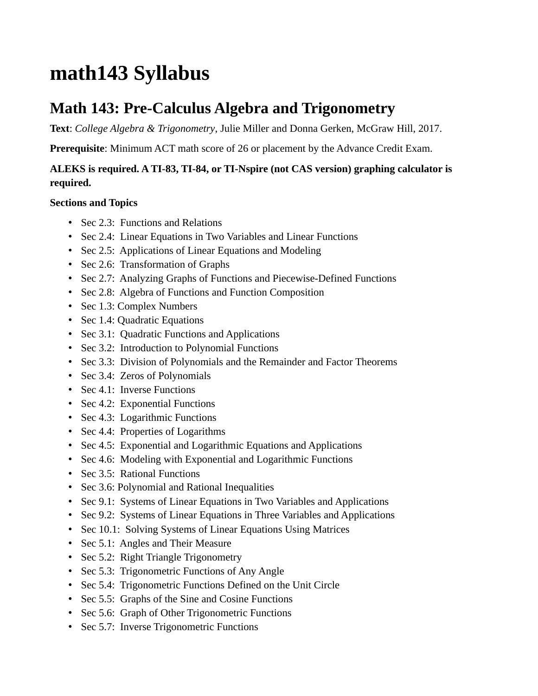## **math143 Syllabus**

## **Math 143: Pre-Calculus Algebra and Trigonometry**

**Text**: *College Algebra & Trigonometry*, Julie Miller and Donna Gerken, McGraw Hill, 2017.

**Prerequisite**: Minimum ACT math score of 26 or placement by the Advance Credit Exam.

## **ALEKS is required. A TI-83, TI-84, or TI-Nspire (not CAS version) graphing calculator is required.**

## **Sections and Topics**

- Sec 2.3: Functions and Relations
- Sec 2.4: Linear Equations in Two Variables and Linear Functions
- Sec 2.5: Applications of Linear Equations and Modeling
- Sec 2.6: Transformation of Graphs
- Sec 2.7: Analyzing Graphs of Functions and Piecewise-Defined Functions
- Sec 2.8: Algebra of Functions and Function Composition
- Sec 1.3: Complex Numbers
- Sec 1.4: Quadratic Equations
- Sec 3.1: Quadratic Functions and Applications
- Sec 3.2: Introduction to Polynomial Functions
- Sec 3.3: Division of Polynomials and the Remainder and Factor Theorems
- Sec 3.4: Zeros of Polynomials
- Sec 4.1: Inverse Functions
- Sec 4.2: Exponential Functions
- Sec 4.3: Logarithmic Functions
- Sec 4.4: Properties of Logarithms
- Sec 4.5: Exponential and Logarithmic Equations and Applications
- Sec 4.6: Modeling with Exponential and Logarithmic Functions
- Sec 3.5: Rational Functions
- Sec 3.6: Polynomial and Rational Inequalities
- Sec 9.1: Systems of Linear Equations in Two Variables and Applications
- Sec 9.2: Systems of Linear Equations in Three Variables and Applications
- Sec 10.1: Solving Systems of Linear Equations Using Matrices
- Sec 5.1: Angles and Their Measure
- Sec 5.2: Right Triangle Trigonometry
- Sec 5.3: Trigonometric Functions of Any Angle
- Sec 5.4: Trigonometric Functions Defined on the Unit Circle
- Sec 5.5: Graphs of the Sine and Cosine Functions
- Sec 5.6: Graph of Other Trigonometric Functions
- Sec 5.7: Inverse Trigonometric Functions